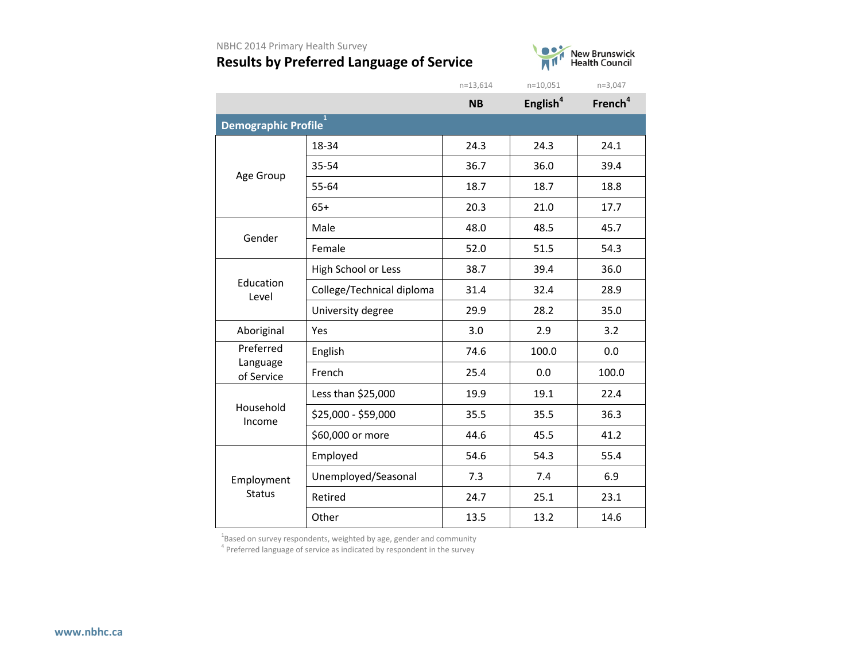

|                        |                           | $n = 13,614$ | $n=10,051$           | $n=3,047$           |
|------------------------|---------------------------|--------------|----------------------|---------------------|
|                        |                           | <b>NB</b>    | English <sup>4</sup> | French <sup>4</sup> |
| Demographic Profile    | $\mathbf{1}$              |              |                      |                     |
|                        | 18-34                     | 24.3         | 24.3                 | 24.1                |
| Age Group              | 35-54                     | 36.7         | 36.0                 | 39.4                |
|                        | 55-64                     | 18.7         | 18.7                 | 18.8                |
|                        | $65+$                     | 20.3         | 21.0                 | 17.7                |
| Gender                 | Male                      | 48.0         | 48.5                 | 45.7                |
|                        | Female                    | 52.0         | 51.5                 | 54.3                |
|                        | High School or Less       | 38.7         | 39.4                 | 36.0                |
| Education<br>Level     | College/Technical diploma | 31.4         | 32.4                 | 28.9                |
|                        | University degree         | 29.9         | 28.2                 | 35.0                |
| Aboriginal             | Yes                       | 3.0          | 2.9                  | 3.2                 |
| Preferred              | English                   | 74.6         | 100.0                | 0.0                 |
| Language<br>of Service | French                    | 25.4         | 0.0                  | 100.0               |
|                        | Less than \$25,000        | 19.9         | 19.1                 | 22.4                |
| Household<br>Income    | \$25,000 - \$59,000       | 35.5         | 35.5                 | 36.3                |
|                        | \$60,000 or more          | 44.6         | 45.5                 | 41.2                |
|                        | Employed                  | 54.6         | 54.3                 | 55.4                |
| Employment             | Unemployed/Seasonal       | 7.3          | 7.4                  | 6.9                 |
| <b>Status</b>          | Retired                   | 24.7         | 25.1                 | 23.1                |
|                        | Other                     | 13.5         | 13.2                 | 14.6                |

 $^{1}$ Based on survey respondents, weighted by age, gender and community

<sup>4</sup> Preferred language of service as indicated by respondent in the survey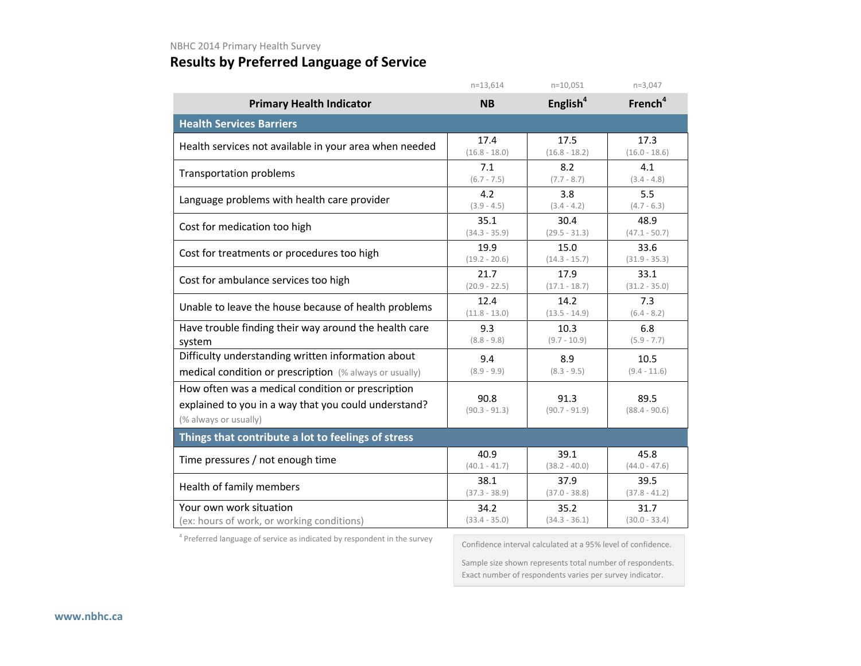## **Results by Preferred Language of Service**

|                                                                                                                                    | $n=13,614$              | $n=10,051$              | $n=3,047$               |  |  |  |  |  |
|------------------------------------------------------------------------------------------------------------------------------------|-------------------------|-------------------------|-------------------------|--|--|--|--|--|
| <b>Primary Health Indicator</b>                                                                                                    | <b>NB</b>               | English <sup>4</sup>    | French <sup>4</sup>     |  |  |  |  |  |
| <b>Health Services Barriers</b>                                                                                                    |                         |                         |                         |  |  |  |  |  |
| Health services not available in your area when needed                                                                             | 17.4                    | 17.5                    | 17.3                    |  |  |  |  |  |
|                                                                                                                                    | $(16.8 - 18.0)$         | $(16.8 - 18.2)$         | $(16.0 - 18.6)$         |  |  |  |  |  |
| <b>Transportation problems</b>                                                                                                     | 7.1                     | 8.2                     | 4.1                     |  |  |  |  |  |
|                                                                                                                                    | $(6.7 - 7.5)$           | $(7.7 - 8.7)$           | $(3.4 - 4.8)$           |  |  |  |  |  |
| Language problems with health care provider                                                                                        | 4.2                     | 3.8                     | 5.5                     |  |  |  |  |  |
|                                                                                                                                    | $(3.9 - 4.5)$           | $(3.4 - 4.2)$           | $(4.7 - 6.3)$           |  |  |  |  |  |
| Cost for medication too high                                                                                                       | 35.1                    | 30.4                    | 48.9                    |  |  |  |  |  |
|                                                                                                                                    | $(34.3 - 35.9)$         | $(29.5 - 31.3)$         | $(47.1 - 50.7)$         |  |  |  |  |  |
| Cost for treatments or procedures too high                                                                                         | 19.9                    | 15.0                    | 33.6                    |  |  |  |  |  |
|                                                                                                                                    | $(19.2 - 20.6)$         | $(14.3 - 15.7)$         | $(31.9 - 35.3)$         |  |  |  |  |  |
| Cost for ambulance services too high                                                                                               | 21.7                    | 17.9                    | 33.1                    |  |  |  |  |  |
|                                                                                                                                    | $(20.9 - 22.5)$         | $(17.1 - 18.7)$         | $(31.2 - 35.0)$         |  |  |  |  |  |
| Unable to leave the house because of health problems                                                                               | 12.4                    | 14.2                    | 7.3                     |  |  |  |  |  |
|                                                                                                                                    | $(11.8 - 13.0)$         | $(13.5 - 14.9)$         | $(6.4 - 8.2)$           |  |  |  |  |  |
| Have trouble finding their way around the health care                                                                              | 9.3                     | 10.3                    | 6.8                     |  |  |  |  |  |
| system                                                                                                                             | $(8.8 - 9.8)$           | $(9.7 - 10.9)$          | $(5.9 - 7.7)$           |  |  |  |  |  |
| Difficulty understanding written information about                                                                                 | 9.4                     | 8.9                     | 10.5                    |  |  |  |  |  |
| medical condition or prescription (% always or usually)                                                                            | $(8.9 - 9.9)$           | $(8.3 - 9.5)$           | $(9.4 - 11.6)$          |  |  |  |  |  |
| How often was a medical condition or prescription<br>explained to you in a way that you could understand?<br>(% always or usually) | 90.8<br>$(90.3 - 91.3)$ | 91.3<br>$(90.7 - 91.9)$ | 89.5<br>$(88.4 - 90.6)$ |  |  |  |  |  |
| Things that contribute a lot to feelings of stress                                                                                 |                         |                         |                         |  |  |  |  |  |
| Time pressures / not enough time                                                                                                   | 40.9                    | 39.1                    | 45.8                    |  |  |  |  |  |
|                                                                                                                                    | $(40.1 - 41.7)$         | $(38.2 - 40.0)$         | $(44.0 - 47.6)$         |  |  |  |  |  |
| Health of family members                                                                                                           | 38.1                    | 37.9                    | 39.5                    |  |  |  |  |  |
|                                                                                                                                    | $(37.3 - 38.9)$         | $(37.0 - 38.8)$         | $(37.8 - 41.2)$         |  |  |  |  |  |
| Your own work situation                                                                                                            | 34.2                    | 35.2                    | 31.7                    |  |  |  |  |  |
| (ex: hours of work, or working conditions)                                                                                         | $(33.4 - 35.0)$         | $(34.3 - 36.1)$         | $(30.0 - 33.4)$         |  |  |  |  |  |

<sup>4</sup> Preferred language of service as indicated by respondent in the survey

Confidence interval calculated at a 95% level of confidence.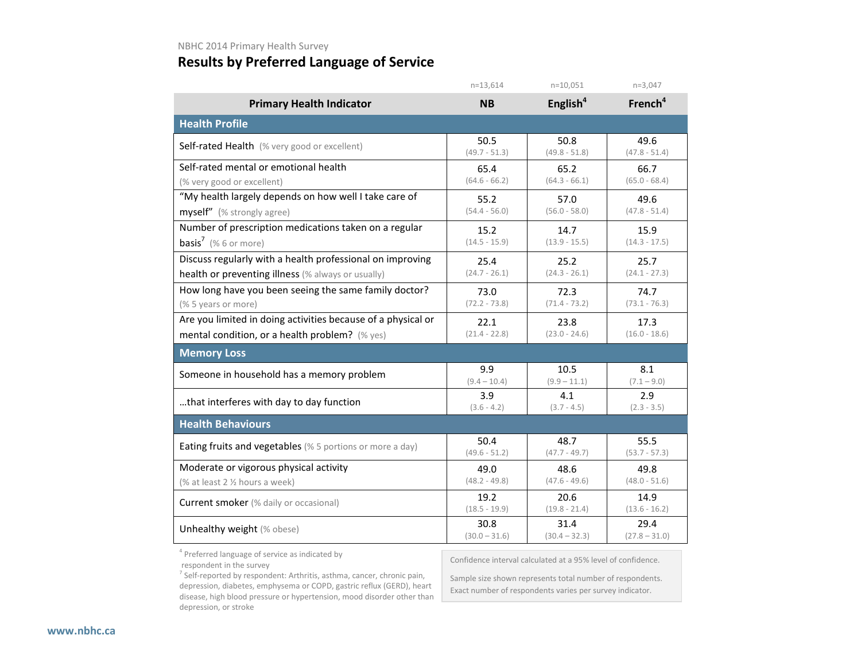|                                                              | $n=13,614$      | $n=10,051$           | $n=3,047$           |  |  |  |  |
|--------------------------------------------------------------|-----------------|----------------------|---------------------|--|--|--|--|
| <b>Primary Health Indicator</b>                              | <b>NB</b>       | English <sup>4</sup> | French <sup>4</sup> |  |  |  |  |
| <b>Health Profile</b>                                        |                 |                      |                     |  |  |  |  |
| Self-rated Health (% very good or excellent)                 | 50.5            | 50.8                 | 49.6                |  |  |  |  |
|                                                              | $(49.7 - 51.3)$ | $(49.8 - 51.8)$      | $(47.8 - 51.4)$     |  |  |  |  |
| Self-rated mental or emotional health                        | 65.4            | 65.2                 | 66.7                |  |  |  |  |
| (% very good or excellent)                                   | $(64.6 - 66.2)$ | $(64.3 - 66.1)$      | $(65.0 - 68.4)$     |  |  |  |  |
| "My health largely depends on how well I take care of        | 55.2            | 57.0                 | 49.6                |  |  |  |  |
| myself" (% strongly agree)                                   | $(54.4 - 56.0)$ | $(56.0 - 58.0)$      | $(47.8 - 51.4)$     |  |  |  |  |
| Number of prescription medications taken on a regular        | 15.2            | 14.7                 | 15.9                |  |  |  |  |
| <b>basis<sup>7</sup></b> (% 6 or more)                       | $(14.5 - 15.9)$ | $(13.9 - 15.5)$      | $(14.3 - 17.5)$     |  |  |  |  |
| Discuss regularly with a health professional on improving    | 25.4            | 25.2                 | 25.7                |  |  |  |  |
| health or preventing illness (% always or usually)           | $(24.7 - 26.1)$ | $(24.3 - 26.1)$      | $(24.1 - 27.3)$     |  |  |  |  |
| How long have you been seeing the same family doctor?        | 73.0            | 72.3                 | 74.7                |  |  |  |  |
| (% 5 years or more)                                          | $(72.2 - 73.8)$ | $(71.4 - 73.2)$      | $(73.1 - 76.3)$     |  |  |  |  |
| Are you limited in doing activities because of a physical or | 22.1            | 23.8                 | 17.3                |  |  |  |  |
| mental condition, or a health problem? (% yes)               | $(21.4 - 22.8)$ | $(23.0 - 24.6)$      | $(16.0 - 18.6)$     |  |  |  |  |
| <b>Memory Loss</b>                                           |                 |                      |                     |  |  |  |  |
| Someone in household has a memory problem                    | 9.9             | 10.5                 | 8.1                 |  |  |  |  |
|                                                              | $(9.4 - 10.4)$  | $(9.9 - 11.1)$       | $(7.1 - 9.0)$       |  |  |  |  |
| that interferes with day to day function                     | 3.9             | 4.1                  | 2.9                 |  |  |  |  |
|                                                              | $(3.6 - 4.2)$   | $(3.7 - 4.5)$        | $(2.3 - 3.5)$       |  |  |  |  |
| <b>Health Behaviours</b>                                     |                 |                      |                     |  |  |  |  |
| Eating fruits and vegetables (% 5 portions or more a day)    | 50.4            | 48.7                 | 55.5                |  |  |  |  |
|                                                              | $(49.6 - 51.2)$ | $(47.7 - 49.7)$      | $(53.7 - 57.3)$     |  |  |  |  |
| Moderate or vigorous physical activity                       | 49.0            | 48.6                 | 49.8                |  |  |  |  |
| (% at least 2 % hours a week)                                | $(48.2 - 49.8)$ | $(47.6 - 49.6)$      | $(48.0 - 51.6)$     |  |  |  |  |
| Current smoker (% daily or occasional)                       | 19.2            | 20.6                 | 14.9                |  |  |  |  |
|                                                              | $(18.5 - 19.9)$ | $(19.8 - 21.4)$      | $(13.6 - 16.2)$     |  |  |  |  |
| Unhealthy weight (% obese)                                   | 30.8            | 31.4                 | 29.4                |  |  |  |  |
|                                                              | $(30.0 - 31.6)$ | $(30.4 - 32.3)$      | $(27.8 - 31.0)$     |  |  |  |  |

<sup>4</sup> Preferred language of service as indicated by

respondent in the survey

 $<sup>7</sup>$  Self-reported by respondent: Arthritis, asthma, cancer, chronic pain,</sup> depression, diabetes, emphysema or COPD, gastric reflux (GERD), heart disease, high blood pressure or hypertension, mood disorder other than depression, or stroke

Confidence interval calculated at a 95% level of confidence.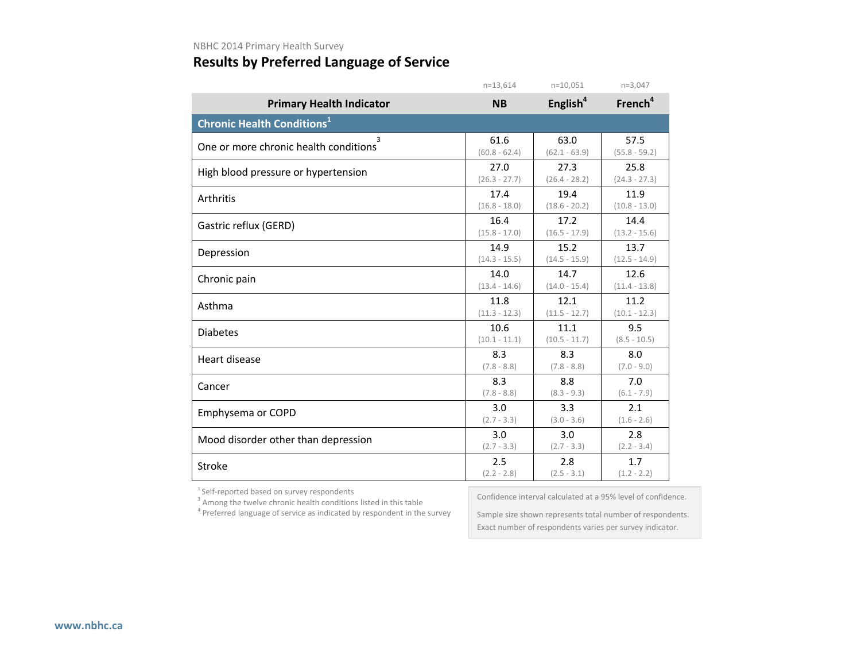### **Results by Preferred Language of Service**

|                                               | $n = 13,614$    | $n=10,051$      | $n=3,047$           |
|-----------------------------------------------|-----------------|-----------------|---------------------|
| <b>Primary Health Indicator</b>               | <b>NB</b>       | English $4$     | French <sup>4</sup> |
| <b>Chronic Health Conditions</b> <sup>1</sup> |                 |                 |                     |
| 3                                             | 61.6            | 63.0            | 57.5                |
| One or more chronic health conditions         | $(60.8 - 62.4)$ | $(62.1 - 63.9)$ | $(55.8 - 59.2)$     |
| High blood pressure or hypertension           | 27.0            | 27.3            | 25.8                |
|                                               | $(26.3 - 27.7)$ | $(26.4 - 28.2)$ | $(24.3 - 27.3)$     |
| Arthritis                                     | 17.4            | 19.4            | 11.9                |
|                                               | $(16.8 - 18.0)$ | $(18.6 - 20.2)$ | $(10.8 - 13.0)$     |
| Gastric reflux (GERD)                         | 16.4            | 17.2            | 14.4                |
|                                               | $(15.8 - 17.0)$ | $(16.5 - 17.9)$ | $(13.2 - 15.6)$     |
| Depression                                    | 14.9            | 15.2            | 13.7                |
|                                               | $(14.3 - 15.5)$ | $(14.5 - 15.9)$ | $(12.5 - 14.9)$     |
| Chronic pain                                  | 14.0            | 14.7            | 12.6                |
|                                               | $(13.4 - 14.6)$ | $(14.0 - 15.4)$ | $(11.4 - 13.8)$     |
| Asthma                                        | 11.8            | 12.1            | 11.2                |
|                                               | $(11.3 - 12.3)$ | $(11.5 - 12.7)$ | $(10.1 - 12.3)$     |
| <b>Diabetes</b>                               | 10.6            | 11.1            | 9.5                 |
|                                               | $(10.1 - 11.1)$ | $(10.5 - 11.7)$ | $(8.5 - 10.5)$      |
| Heart disease                                 | 8.3             | 8.3             | 8.0                 |
|                                               | $(7.8 - 8.8)$   | $(7.8 - 8.8)$   | $(7.0 - 9.0)$       |
| Cancer                                        | 8.3             | 8.8             | 7.0                 |
|                                               | $(7.8 - 8.8)$   | $(8.3 - 9.3)$   | $(6.1 - 7.9)$       |
| Emphysema or COPD                             | 3.0             | 3.3             | 2.1                 |
|                                               | $(2.7 - 3.3)$   | $(3.0 - 3.6)$   | $(1.6 - 2.6)$       |
| Mood disorder other than depression           | 3.0             | 3.0             | 2.8                 |
|                                               | $(2.7 - 3.3)$   | $(2.7 - 3.3)$   | $(2.2 - 3.4)$       |
| Stroke                                        | 2.5             | 2.8             | 1.7                 |
|                                               | $(2.2 - 2.8)$   | $(2.5 - 3.1)$   | $(1.2 - 2.2)$       |

<sup>1</sup> Self-reported based on survey respondents  $3$  Among the twelve chronic health conditions listed in this table

<sup>4</sup> Preferred language of service as indicated by respondent in the survey

Confidence interval calculated at a 95% level of confidence.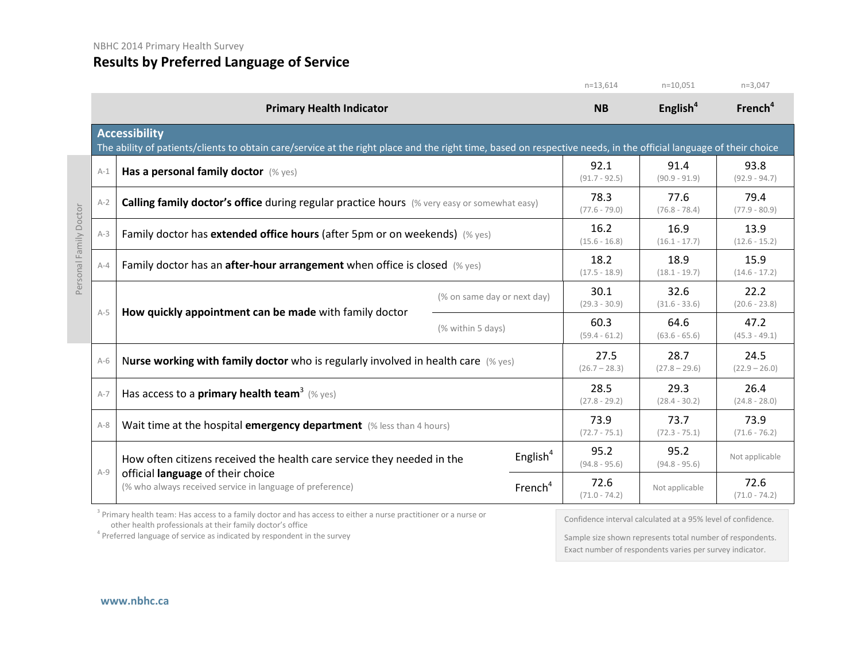|                        |                                                                                              |                                                                                                                                                                                           |                         |                         | $n=13,614$              | $n=10,051$              | $n=3,047$               |
|------------------------|----------------------------------------------------------------------------------------------|-------------------------------------------------------------------------------------------------------------------------------------------------------------------------------------------|-------------------------|-------------------------|-------------------------|-------------------------|-------------------------|
|                        |                                                                                              | <b>Primary Health Indicator</b>                                                                                                                                                           |                         |                         | <b>NB</b>               | English $4$             | French <sup>4</sup>     |
|                        |                                                                                              | <b>Accessibility</b><br>The ability of patients/clients to obtain care/service at the right place and the right time, based on respective needs, in the official language of their choice |                         |                         |                         |                         |                         |
|                        | $A-1$                                                                                        | Has a personal family doctor (% yes)                                                                                                                                                      |                         |                         | 92.1<br>$(91.7 - 92.5)$ | 91.4<br>$(90.9 - 91.9)$ | 93.8<br>$(92.9 - 94.7)$ |
|                        | $A-2$                                                                                        | Calling family doctor's office during regular practice hours (% very easy or somewhat easy)                                                                                               |                         |                         | 78.3<br>$(77.6 - 79.0)$ | 77.6<br>$(76.8 - 78.4)$ | 79.4<br>$(77.9 - 80.9)$ |
| Personal Family Doctor | Family doctor has extended office hours (after 5pm or on weekends) (% yes)<br>$A-3$          |                                                                                                                                                                                           | 16.2<br>$(15.6 - 16.8)$ | 16.9<br>$(16.1 - 17.7)$ | 13.9<br>$(12.6 - 15.2)$ |                         |                         |
|                        | Family doctor has an <b>after-hour arrangement</b> when office is closed $(\%$ yes)<br>$A-4$ |                                                                                                                                                                                           | 18.2<br>$(17.5 - 18.9)$ | 18.9<br>$(18.1 - 19.7)$ | 15.9<br>$(14.6 - 17.2)$ |                         |                         |
|                        |                                                                                              | (% on same day or next day)<br>How quickly appointment can be made with family doctor<br>(% within 5 days)                                                                                |                         | 30.1<br>$(29.3 - 30.9)$ | 32.6<br>$(31.6 - 33.6)$ | 22.2<br>$(20.6 - 23.8)$ |                         |
|                        | $A-5$                                                                                        |                                                                                                                                                                                           |                         | 60.3<br>$(59.4 - 61.2)$ | 64.6<br>$(63.6 - 65.6)$ | 47.2<br>$(45.3 - 49.1)$ |                         |
|                        | $A-6$                                                                                        | Nurse working with family doctor who is regularly involved in health care $(\%$ yes)                                                                                                      |                         |                         | 27.5<br>$(26.7 - 28.3)$ | 28.7<br>$(27.8 - 29.6)$ | 24.5<br>$(22.9 - 26.0)$ |
|                        | $A-7$                                                                                        | Has access to a <b>primary health team</b> <sup>3</sup> (% yes)                                                                                                                           |                         |                         | 28.5<br>$(27.8 - 29.2)$ | 29.3<br>$(28.4 - 30.2)$ | 26.4<br>$(24.8 - 28.0)$ |
|                        | $A-8$                                                                                        | Wait time at the hospital emergency department (% less than 4 hours)                                                                                                                      |                         |                         | 73.9<br>$(72.7 - 75.1)$ | 73.7<br>$(72.3 - 75.1)$ | 73.9<br>$(71.6 - 76.2)$ |
|                        |                                                                                              | How often citizens received the health care service they needed in the<br>official language of their choice<br>(% who always received service in language of preference)                  |                         | English $4$             | 95.2<br>$(94.8 - 95.6)$ | 95.2<br>$(94.8 - 95.6)$ | Not applicable          |
|                        | $A-9$                                                                                        |                                                                                                                                                                                           |                         | French <sup>4</sup>     | 72.6<br>$(71.0 - 74.2)$ | Not applicable          | 72.6<br>$(71.0 - 74.2)$ |

<sup>3</sup> Primary health team: Has access to a family doctor and has access to either a nurse practitioner or a nurse or other health professionals at their family doctor's office

 $4$  Preferred language of service as indicated by respondent in the survey

Confidence interval calculated at a 95% level of confidence.

Sample size shown represents total number of respondents. Exact number of respondents varies per survey indicator.

**[www.nbhc.ca](http://www.nbhc.ca/)**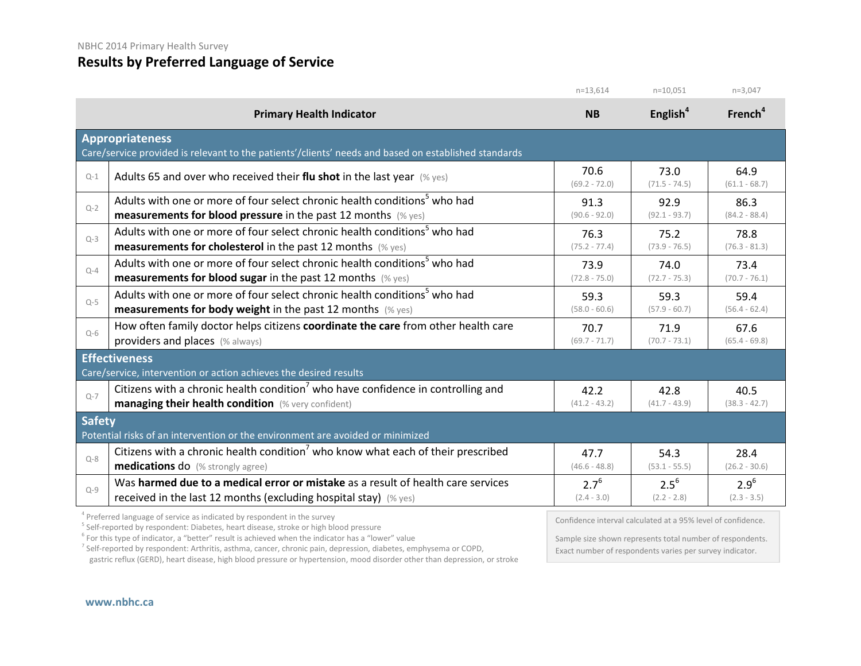|               |                                                                                                                                | $n=13.614$              | $n=10,051$              | $n=3,047$               |  |  |
|---------------|--------------------------------------------------------------------------------------------------------------------------------|-------------------------|-------------------------|-------------------------|--|--|
|               | <b>Primary Health Indicator</b>                                                                                                | <b>NB</b>               | English <sup>4</sup>    | French <sup>4</sup>     |  |  |
|               | <b>Appropriateness</b><br>Care/service provided is relevant to the patients'/clients' needs and based on established standards |                         |                         |                         |  |  |
| $Q-1$         | Adults 65 and over who received their flu shot in the last year $(\%$ yes)                                                     | 70.6<br>$(69.2 - 72.0)$ | 73.0<br>$(71.5 - 74.5)$ | 64.9<br>$(61.1 - 68.7)$ |  |  |
| $Q-2$         | Adults with one or more of four select chronic health conditions <sup>5</sup> who had                                          | 91.3                    | 92.9                    | 86.3                    |  |  |
|               | <b>measurements for blood pressure</b> in the past 12 months $(\%$ yes)                                                        | $(90.6 - 92.0)$         | $(92.1 - 93.7)$         | $(84.2 - 88.4)$         |  |  |
| $Q-3$         | Adults with one or more of four select chronic health conditions <sup>5</sup> who had                                          | 76.3                    | 75.2                    | 78.8                    |  |  |
|               | <b>measurements for cholesterol</b> in the past 12 months (% yes)                                                              | $(75.2 - 77.4)$         | $(73.9 - 76.5)$         | $(76.3 - 81.3)$         |  |  |
| $O - 4$       | Adults with one or more of four select chronic health conditions <sup>5</sup> who had                                          | 73.9                    | 74.0                    | 73.4                    |  |  |
|               | <b>measurements for blood sugar in the past 12 months (% yes)</b>                                                              | $(72.8 - 75.0)$         | $(72.7 - 75.3)$         | $(70.7 - 76.1)$         |  |  |
| $Q-5$         | Adults with one or more of four select chronic health conditions <sup>5</sup> who had                                          | 59.3                    | 59.3                    | 59.4                    |  |  |
|               | <b>measurements for body weight</b> in the past 12 months $(\%$ yes)                                                           | $(58.0 - 60.6)$         | $(57.9 - 60.7)$         | $(56.4 - 62.4)$         |  |  |
| $O-6$         | How often family doctor helps citizens coordinate the care from other health care                                              | 70.7                    | 71.9                    | 67.6                    |  |  |
|               | providers and places (% always)                                                                                                | $(69.7 - 71.7)$         | $(70.7 - 73.1)$         | $(65.4 - 69.8)$         |  |  |
|               | <b>Effectiveness</b><br>Care/service, intervention or action achieves the desired results                                      |                         |                         |                         |  |  |
| $O - 7$       | Citizens with a chronic health condition <sup>7</sup> who have confidence in controlling and                                   | 42.2                    | 42.8                    | 40.5                    |  |  |
|               | <b>managing their health condition</b> (% very confident)                                                                      | $(41.2 - 43.2)$         | $(41.7 - 43.9)$         | $(38.3 - 42.7)$         |  |  |
| <b>Safety</b> | Potential risks of an intervention or the environment are avoided or minimized                                                 |                         |                         |                         |  |  |
| $Q - 8$       | Citizens with a chronic health condition <sup>7</sup> who know what each of their prescribed                                   | 47.7                    | 54.3                    | 28.4                    |  |  |
|               | <b>medications do</b> (% strongly agree)                                                                                       | $(46.6 - 48.8)$         | $(53.1 - 55.5)$         | $(26.2 - 30.6)$         |  |  |
| $Q-9$         | Was harmed due to a medical error or mistake as a result of health care services                                               | $2.7^{6}$               | $2.5^{6}$               | $2.9^{6}$               |  |  |
|               | received in the last 12 months (excluding hospital stay) $(\%$ yes)                                                            | $(2.4 - 3.0)$           | $(2.2 - 2.8)$           | $(2.3 - 3.5)$           |  |  |

 $4$  Preferred language of service as indicated by respondent in the survey<br> $5$  Self-reported by respondent: Diabetes, heart disease, stroke or high blood pressure

 $6$  For this type of indicator, a "better" result is achieved when the indicator has a "lower" value

<sup>7</sup> Self-reported by respondent: Arthritis, asthma, cancer, chronic pain, depression, diabetes, emphysema or COPD,

gastric reflux (GERD), heart disease, high blood pressure or hypertension, mood disorder other than depression, or stroke

Confidence interval calculated at a 95% level of confidence.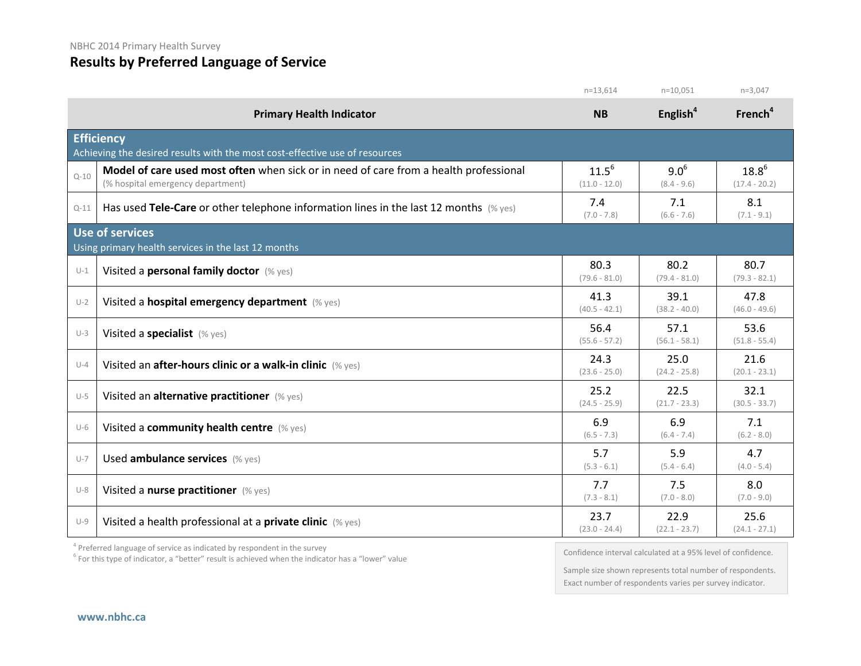### **Results by Preferred Language of Service**

|          |                                                                                                                            | $n=13,614$                    | $n=10,051$                 | $n=3,047$                     |
|----------|----------------------------------------------------------------------------------------------------------------------------|-------------------------------|----------------------------|-------------------------------|
|          | <b>Primary Health Indicator</b>                                                                                            | <b>NB</b>                     | English <sup>4</sup>       | French <sup>4</sup>           |
|          | <b>Efficiency</b>                                                                                                          |                               |                            |                               |
|          | Achieving the desired results with the most cost-effective use of resources                                                |                               |                            |                               |
| $Q - 10$ | Model of care used most often when sick or in need of care from a health professional<br>(% hospital emergency department) | $11.5^{6}$<br>$(11.0 - 12.0)$ | $9.0^{6}$<br>$(8.4 - 9.6)$ | $18.8^{6}$<br>$(17.4 - 20.2)$ |
| $Q-11$   | Has used Tele-Care or other telephone information lines in the last 12 months $(\%$ yes)                                   | 7.4<br>$(7.0 - 7.8)$          | 7.1<br>$(6.6 - 7.6)$       | 8.1<br>$(7.1 - 9.1)$          |
|          | <b>Use of services</b>                                                                                                     |                               |                            |                               |
|          | Using primary health services in the last 12 months                                                                        |                               |                            |                               |
| $U-1$    | Visited a personal family doctor (% yes)                                                                                   | 80.3<br>$(79.6 - 81.0)$       | 80.2<br>$(79.4 - 81.0)$    | 80.7<br>$(79.3 - 82.1)$       |
| $U-2$    | Visited a hospital emergency department (% yes)                                                                            | 41.3<br>$(40.5 - 42.1)$       | 39.1<br>$(38.2 - 40.0)$    | 47.8<br>$(46.0 - 49.6)$       |
| $U-3$    | Visited a specialist (% yes)                                                                                               | 56.4<br>$(55.6 - 57.2)$       | 57.1<br>$(56.1 - 58.1)$    | 53.6<br>$(51.8 - 55.4)$       |
| $U-4$    | Visited an after-hours clinic or a walk-in clinic (% yes)                                                                  | 24.3<br>$(23.6 - 25.0)$       | 25.0<br>$(24.2 - 25.8)$    | 21.6<br>$(20.1 - 23.1)$       |
| $U-5$    | Visited an alternative practitioner (% yes)                                                                                | 25.2<br>$(24.5 - 25.9)$       | 22.5<br>$(21.7 - 23.3)$    | 32.1<br>$(30.5 - 33.7)$       |
| $U-6$    | Visited a community health centre (% yes)                                                                                  | 6.9<br>$(6.5 - 7.3)$          | 6.9<br>$(6.4 - 7.4)$       | 7.1<br>$(6.2 - 8.0)$          |
| $U-7$    | Used ambulance services (% yes)                                                                                            | 5.7<br>$(5.3 - 6.1)$          | 5.9<br>$(5.4 - 6.4)$       | 4.7<br>$(4.0 - 5.4)$          |
| $U-8$    | Visited a nurse practitioner (% yes)                                                                                       | 7.7<br>$(7.3 - 8.1)$          | 7.5<br>$(7.0 - 8.0)$       | 8.0<br>$(7.0 - 9.0)$          |
| $U-9$    | Visited a health professional at a private clinic (% yes)                                                                  | 23.7<br>$(23.0 - 24.4)$       | 22.9<br>$(22.1 - 23.7)$    | 25.6<br>$(24.1 - 27.1)$       |

<sup>4</sup> Preferred language of service as indicated by respondent in the survey

<sup>6</sup> For this type of indicator, a "better" result is achieved when the indicator has a "lower" value

Confidence interval calculated at a 95% level of confidence.